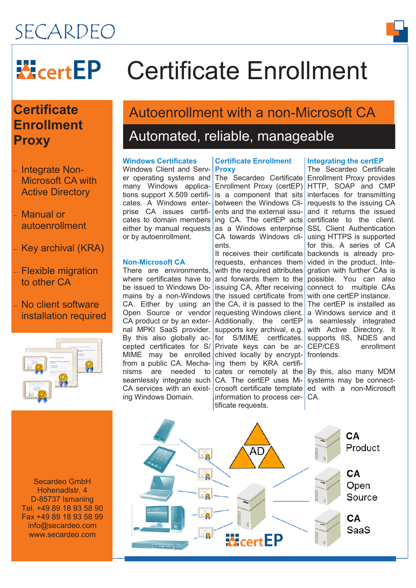# SECARDEO

# **WeertEP** Certificate Enrollment

# **Certificate Enrollment Proxy**

- Integrate Non-Microsoft CA with Active Directory

 Manual or autoenrollment

- Key archival (KRA)

- Flexible migration to other CA

## - No client software installation required



# Autoenrollment with a non-Microsoft CA

# Automated, reliable, manageable

### **Windows Certificates**

Windows Client and Server operating systems and many Windows applications support X.509 certificates. A Windows enterprise CA issues certificates to domain members either by manual requests or by autoenrollment.

### **Non-Microsoft CA**

There are environments, where certificates have to be issued to Windows Domains by a non-Windows CA. Either by using an Open Source or vendor CA product or by an external MPKI SaaS provider. By this also globally accepted certificates for S/ from a public CA. Mecha- ing them by KRA certifiseamlessly integrate such CA. The certEP uses Mi-CA services with an existing Windows Domain.

#### **Certificate Enrollment Proxy**

The Secardeo Certificate Enrollment Proxy provides Enrollment Proxy (certEP) is a component that sits interfaces for transmitting between the Windows Clients and the external issuing CA. The certEP acts as a Windows enterprise SSL Client Authentication CA towards Windows clients.

MIME may be enrolled chived locally by encrypt- frontends. nisms are needed to cates or remotely at the By this, also many MDM It receives their certificate backends is already prorequests, enhances them vided in the product. Intewith the required attributes and forwards them to the possible. You can also issuing CA, After receiving connect to multiple CAs the issued certificate from with one certEP instance. the CA, it is passed to the The certEP is installed as requesting Windows client. a Windows service and it Additionally, the certEP supports key archival, e.g. for S/MIME certficates. supports IIS, NDES and Private keys can be arcrosoft certificate template ed with a non-Microsoft information to process cer-CA. tificate requests.

### **Integrating the certEP**

The Secardeo Certificate HTTP, SOAP and CMP requests to the issuing CA and it returns the issued certificate to the client. using HTTPS is supported for this. A series of CA gration with further CAs is is seamlessly integrated with Active Directory. It CEP/CES enrollment

systems may be connect-

Secardeo GmbH Hohenadlstr. 4 D-85737 Ismaning Tel. +49 89 18 93 58 90 Fax +49 89 18 93 58 99 info@secardeo.com www.secardeo.com